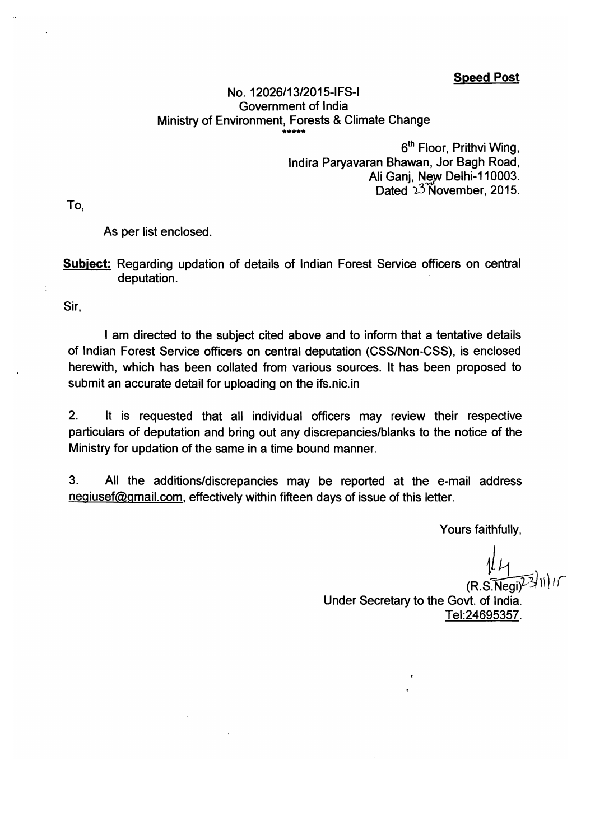**Speed Post** 

#### No. 12026/13/2015-IFS-I Government of India Ministry of Environment, Forests & Climate Change

6<sup>th</sup> Floor, Prithvi Wing, Indira Paryavaran Bhawan, Jor Bagh Road, Ali Ganj, New Delhi-110003. Dated 23 November, 2015.

To.

As per list enclosed.

**Subject:** Regarding updation of details of Indian Forest Service officers on central deputation.

Sir.

I am directed to the subject cited above and to inform that a tentative details of Indian Forest Service officers on central deputation (CSS/Non-CSS), is enclosed herewith, which has been collated from various sources. It has been proposed to submit an accurate detail for uploading on the ifs.nic.in

 $2.$ It is requested that all individual officers may review their respective particulars of deputation and bring out any discrepancies/blanks to the notice of the Ministry for updation of the same in a time bound manner.

 $3.$ All the additions/discrepancies may be reported at the e-mail address negiusef@gmail.com, effectively within fifteen days of issue of this letter.

Yours faithfully,

 $(R.S.\widetilde{Ne}$ Under Secretary to the Govt. of India. Tel: 24695357.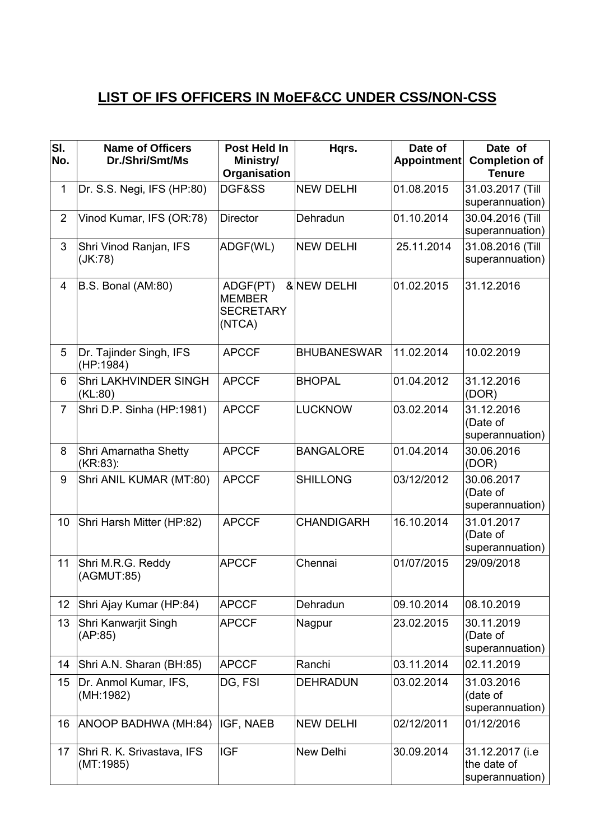# **LIST OF IFS OFFICERS IN MoEF&CC UNDER CSS/NON-CSS**

| SI.<br>No.     | <b>Name of Officers</b><br>Dr./Shri/Smt/Ms | Post Held In<br>Ministry/<br>Organisation               | Hqrs.              | Date of<br><b>Appointment</b> | Date of<br><b>Completion of</b><br><b>Tenure</b>  |
|----------------|--------------------------------------------|---------------------------------------------------------|--------------------|-------------------------------|---------------------------------------------------|
| $\mathbf{1}$   | Dr. S.S. Negi, IFS (HP:80)                 | DGF&SS                                                  | <b>NEW DELHI</b>   | 01.08.2015                    | 31.03.2017 (Till<br>superannuation)               |
| $\overline{2}$ | Vinod Kumar, IFS (OR:78)                   | <b>Director</b>                                         | Dehradun           | 01.10.2014                    | 30.04.2016 (Till<br>superannuation)               |
| 3              | Shri Vinod Ranjan, IFS<br>(JK:78)          | ADGF(WL)                                                | <b>NEW DELHI</b>   | 25.11.2014                    | 31.08.2016 (Till<br>superannuation)               |
| $\overline{4}$ | B.S. Bonal (AM:80)                         | ADGF(PT)<br><b>MEMBER</b><br><b>SECRETARY</b><br>(NTCA) | &NEW DELHI         | 01.02.2015                    | 31.12.2016                                        |
| 5              | Dr. Tajinder Singh, IFS<br>(HP:1984)       | <b>APCCF</b>                                            | <b>BHUBANESWAR</b> | 11.02.2014                    | 10.02.2019                                        |
| 6              | Shri LAKHVINDER SINGH<br>(KL:80)           | <b>APCCF</b>                                            | <b>BHOPAL</b>      | 01.04.2012                    | 31.12.2016<br>(DOR)                               |
| $\overline{7}$ | Shri D.P. Sinha (HP:1981)                  | <b>APCCF</b>                                            | <b>LUCKNOW</b>     | 03.02.2014                    | 31.12.2016<br>(Date of<br>superannuation)         |
| 8              | Shri Amarnatha Shetty<br>(KR:83):          | <b>APCCF</b>                                            | <b>BANGALORE</b>   | 01.04.2014                    | 30.06.2016<br>(DOR)                               |
| 9              | Shri ANIL KUMAR (MT:80)                    | <b>APCCF</b>                                            | <b>SHILLONG</b>    | 03/12/2012                    | 30.06.2017<br>(Date of<br>superannuation)         |
| 10             | Shri Harsh Mitter (HP:82)                  | <b>APCCF</b>                                            | <b>CHANDIGARH</b>  | 16.10.2014                    | 31.01.2017<br>(Date of<br>superannuation)         |
| 11             | Shri M.R.G. Reddy<br>(AGMUT:85)            | <b>APCCF</b>                                            | Chennai            | 01/07/2015                    | 29/09/2018                                        |
| 12             | Shri Ajay Kumar (HP:84)                    | <b>APCCF</b>                                            | Dehradun           | 09.10.2014                    | 08.10.2019                                        |
| 13             | Shri Kanwarjit Singh<br>(AP:85)            | <b>APCCF</b>                                            | Nagpur             | 23.02.2015                    | 30.11.2019<br>(Date of<br>superannuation)         |
| 14             | Shri A.N. Sharan (BH:85)                   | <b>APCCF</b>                                            | Ranchi             | 03.11.2014                    | 02.11.2019                                        |
| 15             | Dr. Anmol Kumar, IFS,<br>(MH:1982)         | DG, FSI                                                 | <b>DEHRADUN</b>    | 03.02.2014                    | 31.03.2016<br>(date of<br>superannuation)         |
| 16             | ANOOP BADHWA (MH:84)                       | IGF, NAEB                                               | <b>NEW DELHI</b>   | 02/12/2011                    | 01/12/2016                                        |
| 17             | Shri R. K. Srivastava, IFS<br>(MT:1985)    | <b>IGF</b>                                              | New Delhi          | 30.09.2014                    | 31.12.2017 (i.e<br>the date of<br>superannuation) |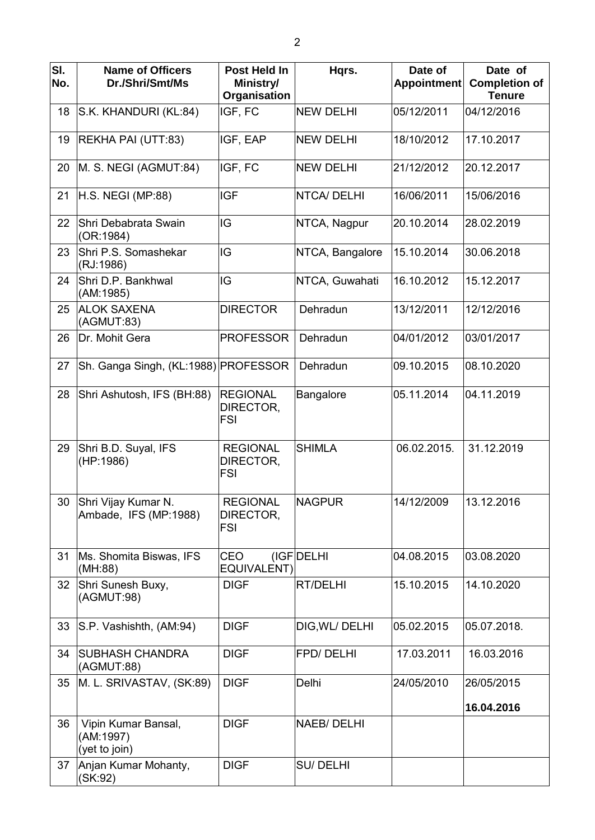| SI.<br>No. | <b>Name of Officers</b><br>Dr./Shri/Smt/Ms        | Post Held In<br>Ministry/<br>Organisation  | Hqrs.              | Date of<br><b>Appointment</b> | Date of<br><b>Completion of</b><br><b>Tenure</b> |
|------------|---------------------------------------------------|--------------------------------------------|--------------------|-------------------------------|--------------------------------------------------|
| 18         | S.K. KHANDURI (KL:84)                             | IGF, FC                                    | <b>NEW DELHI</b>   | 05/12/2011                    | 04/12/2016                                       |
| 19         | REKHA PAI (UTT:83)                                | IGF, EAP                                   | <b>NEW DELHI</b>   | 18/10/2012                    | 17.10.2017                                       |
| 20         | M. S. NEGI (AGMUT:84)                             | IGF, FC                                    | <b>NEW DELHI</b>   | 21/12/2012                    | 20.12.2017                                       |
| 21         | H.S. NEGI (MP:88)                                 | <b>IGF</b>                                 | <b>NTCA/DELHI</b>  | 16/06/2011                    | 15/06/2016                                       |
| 22         | Shri Debabrata Swain<br>(OR:1984)                 | IG                                         | NTCA, Nagpur       | 20.10.2014                    | 28.02.2019                                       |
| 23         | Shri P.S. Somashekar<br>(RJ:1986)                 | IG                                         | NTCA, Bangalore    | 15.10.2014                    | 30.06.2018                                       |
| 24         | Shri D.P. Bankhwal<br>(AM:1985)                   | IG                                         | NTCA, Guwahati     | 16.10.2012                    | 15.12.2017                                       |
| 25         | <b>ALOK SAXENA</b><br>(AGMUT:83)                  | <b>DIRECTOR</b>                            | Dehradun           | 13/12/2011                    | 12/12/2016                                       |
| 26         | Dr. Mohit Gera                                    | <b>PROFESSOR</b>                           | Dehradun           | 04/01/2012                    | 03/01/2017                                       |
| 27         | Sh. Ganga Singh, (KL:1988) PROFESSOR              |                                            | Dehradun           | 09.10.2015                    | 08.10.2020                                       |
| 28         | Shri Ashutosh, IFS (BH:88)                        | <b>REGIONAL</b><br>DIRECTOR,<br><b>FSI</b> | <b>Bangalore</b>   | 05.11.2014                    | 04.11.2019                                       |
| 29         | Shri B.D. Suyal, IFS<br>(HP:1986)                 | <b>REGIONAL</b><br>DIRECTOR,<br><b>FSI</b> | <b>SHIMLA</b>      | 06.02.2015.                   | 31.12.2019                                       |
| 30         | Shri Vijay Kumar N.<br>Ambade, IFS (MP:1988)      | <b>REGIONAL</b><br>DIRECTOR,<br><b>FSI</b> | <b>NAGPUR</b>      | 14/12/2009                    | 13.12.2016                                       |
| 31         | Ms. Shomita Biswas, IFS<br>(MH:88)                | <b>CEO</b><br><b>EQUIVALENT)</b>           | (IGF DELHI         | 04.08.2015                    | 03.08.2020                                       |
| 32         | Shri Sunesh Buxy,<br>(AGMUT:98)                   | <b>DIGF</b>                                | RT/DELHI           | 15.10.2015                    | 14.10.2020                                       |
| 33         | S.P. Vashishth, (AM:94)                           | <b>DIGF</b>                                | DIG, WL/DELHI      | 05.02.2015                    | 05.07.2018.                                      |
| 34         | <b>SUBHASH CHANDRA</b><br>(AGMUT:88)              | <b>DIGF</b>                                | <b>FPD/DELHI</b>   | 17.03.2011                    | 16.03.2016                                       |
| 35         | M. L. SRIVASTAV, (SK:89)                          | <b>DIGF</b>                                | Delhi              | 24/05/2010                    | 26/05/2015                                       |
|            |                                                   |                                            |                    |                               | 16.04.2016                                       |
| 36         | Vipin Kumar Bansal,<br>(AM:1997)<br>(yet to join) | <b>DIGF</b>                                | <b>NAEB/ DELHI</b> |                               |                                                  |
| 37         | Anjan Kumar Mohanty,<br>(SK:92)                   | <b>DIGF</b>                                | <b>SU/DELHI</b>    |                               |                                                  |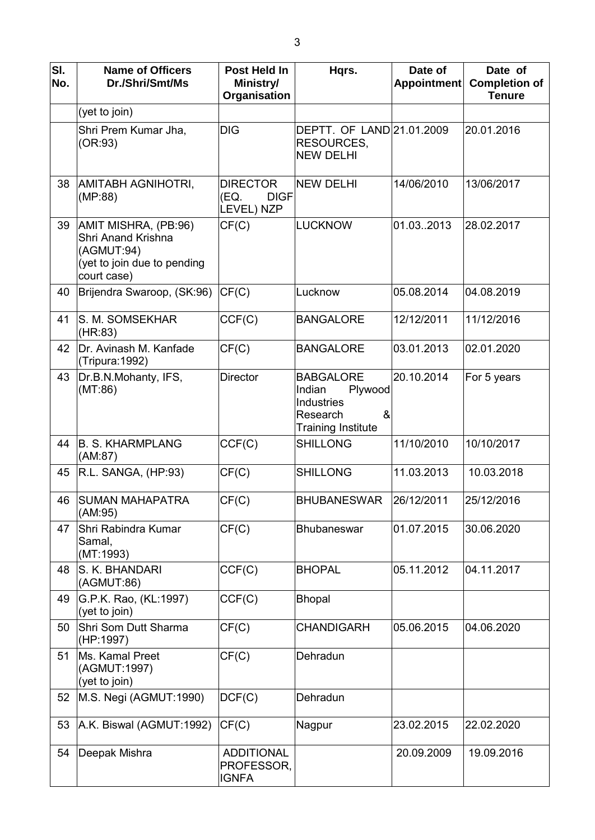| SI.<br>No. | <b>Name of Officers</b><br>Dr./Shri/Smt/Ms                                                             | Post Held In<br>Ministry/<br>Organisation            | Hqrs.                                                                                             | Date of<br>Appointment | Date of<br><b>Completion of</b><br><b>Tenure</b> |
|------------|--------------------------------------------------------------------------------------------------------|------------------------------------------------------|---------------------------------------------------------------------------------------------------|------------------------|--------------------------------------------------|
|            | (yet to join)                                                                                          |                                                      |                                                                                                   |                        |                                                  |
|            | Shri Prem Kumar Jha,<br>(OR:93)                                                                        | <b>DIG</b>                                           | DEPTT. OF LAND 21.01.2009<br>RESOURCES,<br><b>NEW DELHI</b>                                       |                        | 20.01.2016                                       |
| 38         | AMITABH AGNIHOTRI,<br>(MP:88)                                                                          | <b>DIRECTOR</b><br>(EQ.<br><b>DIGF</b><br>LEVEL) NZP | <b>NEW DELHI</b>                                                                                  | 14/06/2010             | 13/06/2017                                       |
| 39         | AMIT MISHRA, (PB:96)<br>Shri Anand Krishna<br>(AGMUT:94)<br>(yet to join due to pending<br>court case) | CF(C)                                                | <b>LUCKNOW</b>                                                                                    | 01.032013              | 28.02.2017                                       |
| 40         | Brijendra Swaroop, (SK:96)                                                                             | CF(C)                                                | Lucknow                                                                                           | 05.08.2014             | 04.08.2019                                       |
| 41         | S. M. SOMSEKHAR<br>(HR:83)                                                                             | CCF(C)                                               | <b>BANGALORE</b>                                                                                  | 12/12/2011             | 11/12/2016                                       |
| 42         | Dr. Avinash M. Kanfade<br>(Tripura: 1992)                                                              | CF(C)                                                | <b>BANGALORE</b>                                                                                  | 03.01.2013             | 02.01.2020                                       |
| 43         | Dr.B.N.Mohanty, IFS,<br>(MT:86)                                                                        | <b>Director</b>                                      | <b>BABGALORE</b><br>Indian<br>Plywood<br>Industries<br>&<br>Research<br><b>Training Institute</b> | 20.10.2014             | For 5 years                                      |
| 44         | <b>B. S. KHARMPLANG</b><br>(AM:87)                                                                     | CCF(C)                                               | <b>SHILLONG</b>                                                                                   | 11/10/2010             | 10/10/2017                                       |
| 45         | R.L. SANGA, (HP:93)                                                                                    | CF(C)                                                | <b>SHILLONG</b>                                                                                   | 11.03.2013             | 10.03.2018                                       |
| 46         | <b>ISUMAN MAHAPATRA</b><br>(AM:95)                                                                     | CF(C)                                                | <b>BHUBANESWAR</b>                                                                                | 26/12/2011             | 25/12/2016                                       |
| 47         | Shri Rabindra Kumar<br>Samal,<br>(MT:1993)                                                             | CF(C)                                                | <b>Bhubaneswar</b>                                                                                | 01.07.2015             | 30.06.2020                                       |
| 48         | S. K. BHANDARI<br>(AGMUT:86)                                                                           | CCF(C)                                               | <b>BHOPAL</b>                                                                                     | 05.11.2012             | 04.11.2017                                       |
| 49         | G.P.K. Rao, (KL:1997)<br>(yet to join)                                                                 | CCF(C)                                               | <b>Bhopal</b>                                                                                     |                        |                                                  |
| 50         | Shri Som Dutt Sharma<br>(HP:1997)                                                                      | CF(C)                                                | <b>CHANDIGARH</b>                                                                                 | 05.06.2015             | 04.06.2020                                       |
| 51         | Ms. Kamal Preet<br>(AGMUT:1997)<br>(yet to join)                                                       | CF(C)                                                | Dehradun                                                                                          |                        |                                                  |
| 52         | M.S. Negi (AGMUT:1990)                                                                                 | DCF(C)                                               | Dehradun                                                                                          |                        |                                                  |
| 53         | A.K. Biswal (AGMUT:1992)                                                                               | CF(C)                                                | Nagpur                                                                                            | 23.02.2015             | 22.02.2020                                       |
| 54         | Deepak Mishra                                                                                          | <b>ADDITIONAL</b><br>PROFESSOR,<br><b>IGNFA</b>      |                                                                                                   | 20.09.2009             | 19.09.2016                                       |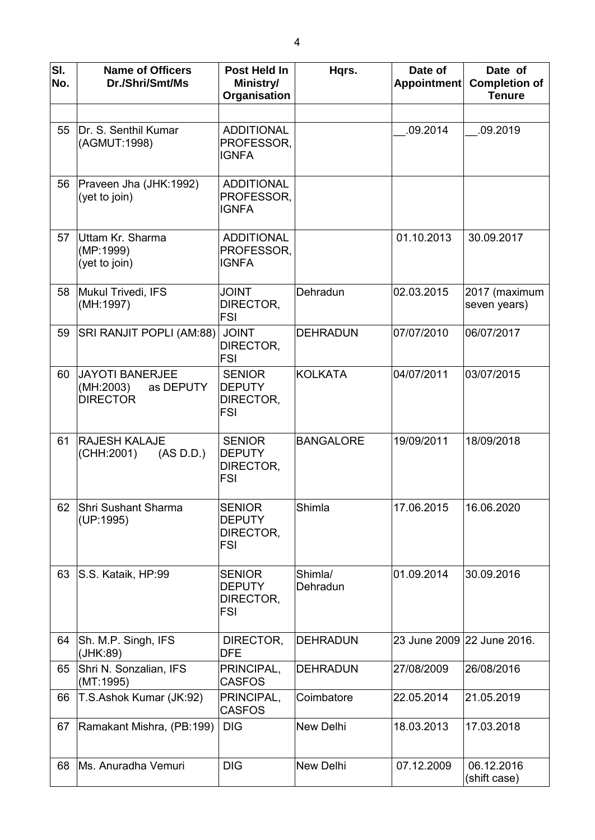| SI.<br>No. | <b>Name of Officers</b><br>Dr./Shri/Smt/Ms                          | Post Held In<br>Ministry/<br>Organisation                 | Hqrs.               | Date of<br>Appointment     | Date of<br><b>Completion of</b><br><b>Tenure</b> |
|------------|---------------------------------------------------------------------|-----------------------------------------------------------|---------------------|----------------------------|--------------------------------------------------|
| 55         | Dr. S. Senthil Kumar<br>(AGMUT:1998)                                | <b>ADDITIONAL</b><br>PROFESSOR,<br><b>IGNFA</b>           |                     | .09.2014                   | .09.2019                                         |
| 56         | Praveen Jha (JHK:1992)<br>(yet to join)                             | <b>ADDITIONAL</b><br>PROFESSOR,<br><b>IGNFA</b>           |                     |                            |                                                  |
| 57         | Uttam Kr. Sharma<br>(MP:1999)<br>(yet to join)                      | <b>ADDITIONAL</b><br>PROFESSOR,<br><b>IGNFA</b>           |                     | 01.10.2013                 | 30.09.2017                                       |
| 58         | Mukul Trivedi, IFS<br>(MH:1997)                                     | <b>JOINT</b><br>DIRECTOR,<br><b>FSI</b>                   | Dehradun            | 02.03.2015                 | 2017 (maximum<br>seven years)                    |
| 59         | SRI RANJIT POPLI (AM:88)                                            | <b>JOINT</b><br>DIRECTOR,<br><b>FSI</b>                   | <b>DEHRADUN</b>     | 07/07/2010                 | 06/07/2017                                       |
| 60         | <b>JAYOTI BANERJEE</b><br>(MH:2003)<br>as DEPUTY<br><b>DIRECTOR</b> | <b>SENIOR</b><br><b>DEPUTY</b><br>DIRECTOR,<br><b>FSI</b> | <b>KOLKATA</b>      | 04/07/2011                 | 03/07/2015                                       |
| 61         | <b>RAJESH KALAJE</b><br>(CHH:2001)<br>(AS D.D.)                     | <b>SENIOR</b><br><b>DEPUTY</b><br>DIRECTOR,<br><b>FSI</b> | <b>BANGALORE</b>    | 19/09/2011                 | 18/09/2018                                       |
| 62         | Shri Sushant Sharma<br>(UP:1995)                                    | <b>SENIOR</b><br><b>DEPUTY</b><br>DIRECTOR,<br><b>FSI</b> | Shimla              | 17.06.2015                 | 16.06.2020                                       |
| 63         | S.S. Kataik, HP:99                                                  | <b>SENIOR</b><br><b>DEPUTY</b><br>DIRECTOR,<br><b>FSI</b> | Shimla/<br>Dehradun | 01.09.2014                 | 30.09.2016                                       |
| 64         | Sh. M.P. Singh, IFS<br>(JHK:89)                                     | DIRECTOR,<br>DFE                                          | <b>DEHRADUN</b>     | 23 June 2009 22 June 2016. |                                                  |
| 65         | Shri N. Sonzalian, IFS<br>(MT:1995)                                 | PRINCIPAL,<br><b>CASFOS</b>                               | <b>DEHRADUN</b>     | 27/08/2009                 | 26/08/2016                                       |
| 66         | T.S.Ashok Kumar (JK:92)                                             | PRINCIPAL,<br><b>CASFOS</b>                               | Coimbatore          | 22.05.2014                 | 21.05.2019                                       |
| 67         | Ramakant Mishra, (PB:199)                                           | <b>DIG</b>                                                | New Delhi           | 18.03.2013                 | 17.03.2018                                       |
| 68         | Ms. Anuradha Vemuri                                                 | <b>DIG</b>                                                | New Delhi           | 07.12.2009                 | 06.12.2016<br>(shift case)                       |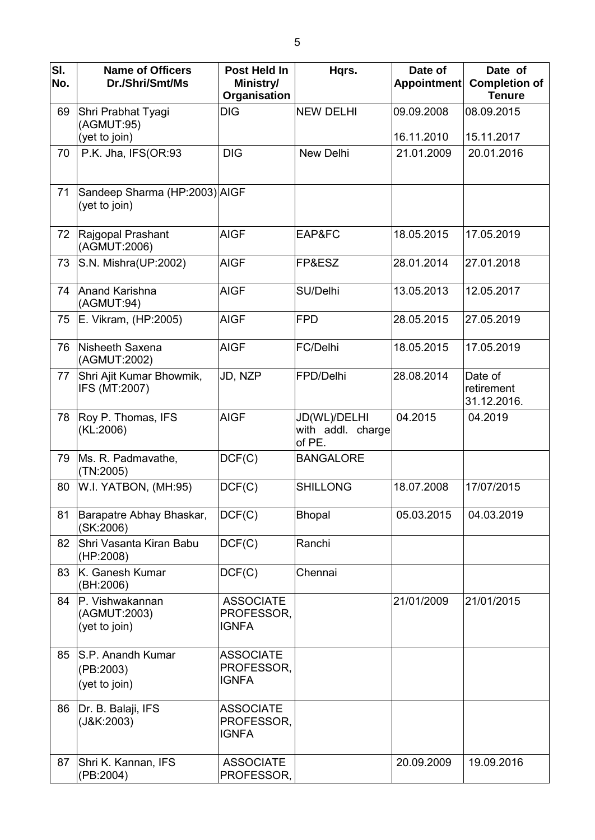| SI.<br>No. | <b>Name of Officers</b><br>Dr./Shri/Smt/Ms       | Post Held In<br>Ministry/<br>Organisation      | Hqrs.                                       | Date of<br><b>Appointment</b> | Date of<br><b>Completion of</b><br><b>Tenure</b> |
|------------|--------------------------------------------------|------------------------------------------------|---------------------------------------------|-------------------------------|--------------------------------------------------|
| 69         | Shri Prabhat Tyagi<br>(AGMUT:95)                 | <b>DIG</b>                                     | <b>NEW DELHI</b>                            | 09.09.2008                    | 08.09.2015                                       |
|            | (yet to join)                                    |                                                |                                             | 16.11.2010                    | 15.11.2017                                       |
| 70         | P.K. Jha, IFS(OR:93                              | <b>DIG</b>                                     | New Delhi                                   | 21.01.2009                    | 20.01.2016                                       |
| 71         | Sandeep Sharma (HP:2003) AIGF<br>(yet to join)   |                                                |                                             |                               |                                                  |
| 72         | Rajgopal Prashant<br>(AGMUT:2006)                | <b>AIGF</b>                                    | EAP&FC                                      | 18.05.2015                    | 17.05.2019                                       |
| 73         | S.N. Mishra(UP:2002)                             | <b>AIGF</b>                                    | FP&ESZ                                      | 28.01.2014                    | 27.01.2018                                       |
| 74         | Anand Karishna<br>(AGMUT:94)                     | <b>AIGF</b>                                    | SU/Delhi                                    | 13.05.2013                    | 12.05.2017                                       |
| 75         | E. Vikram, (HP:2005)                             | <b>AIGF</b>                                    | <b>FPD</b>                                  | 28.05.2015                    | 27.05.2019                                       |
| 76         | Nisheeth Saxena<br>(AGMUT:2002)                  | <b>AIGF</b>                                    | FC/Delhi                                    | 18.05.2015                    | 17.05.2019                                       |
| 77         | Shri Ajit Kumar Bhowmik,<br>IFS (MT:2007)        | JD, NZP                                        | FPD/Delhi                                   | 28.08.2014                    | Date of<br>retirement<br>31.12.2016.             |
| 78         | Roy P. Thomas, IFS<br>(KL:2006)                  | <b>AIGF</b>                                    | JD(WL)/DELHI<br>with addl. charge<br>of PE. | 04.2015                       | 04.2019                                          |
| 79         | Ms. R. Padmavathe,<br>(TN:2005)                  | DCF(C)                                         | <b>BANGALORE</b>                            |                               |                                                  |
| 80         | W.I. YATBON, (MH:95)                             | DCF(C)                                         | <b>SHILLONG</b>                             | 18.07.2008                    | 17/07/2015                                       |
| 81         | Barapatre Abhay Bhaskar,<br>(SK:2006)            | DCF(C)                                         | <b>Bhopal</b>                               | 05.03.2015                    | 04.03.2019                                       |
| 82         | Shri Vasanta Kiran Babu<br>(HP:2008)             | DCF(C)                                         | Ranchi                                      |                               |                                                  |
| 83         | K. Ganesh Kumar<br>(BH:2006)                     | DCF(C)                                         | Chennai                                     |                               |                                                  |
| 84         | P. Vishwakannan<br>(AGMUT:2003)<br>(yet to join) | <b>ASSOCIATE</b><br>PROFESSOR,<br><b>IGNFA</b> |                                             | 21/01/2009                    | 21/01/2015                                       |
| 85         | S.P. Anandh Kumar<br>(PB:2003)<br>(yet to join)  | <b>ASSOCIATE</b><br>PROFESSOR,<br><b>IGNFA</b> |                                             |                               |                                                  |
| 86         | Dr. B. Balaji, IFS<br>(J&K:2003)                 | <b>ASSOCIATE</b><br>PROFESSOR,<br><b>IGNFA</b> |                                             |                               |                                                  |
| 87         | Shri K. Kannan, IFS<br>(PB:2004)                 | <b>ASSOCIATE</b><br>PROFESSOR,                 |                                             | 20.09.2009                    | 19.09.2016                                       |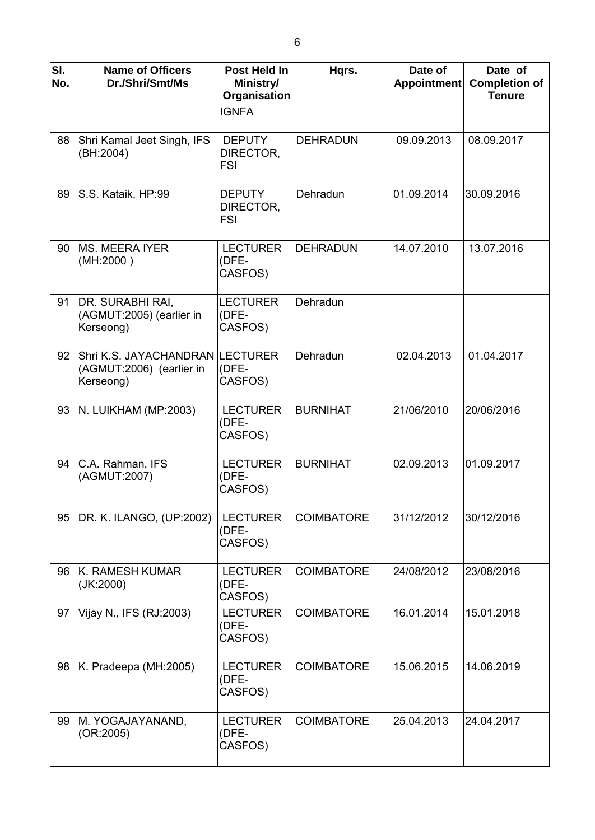| SI.<br>No. | <b>Name of Officers</b><br>Dr./Shri/Smt/Ms                       | Post Held In<br>Ministry/<br>Organisation | Hqrs.             | Date of<br>Appointment | Date of<br><b>Completion of</b><br><b>Tenure</b> |
|------------|------------------------------------------------------------------|-------------------------------------------|-------------------|------------------------|--------------------------------------------------|
|            |                                                                  | <b>IGNFA</b>                              |                   |                        |                                                  |
| 88         | Shri Kamal Jeet Singh, IFS<br>(BH:2004)                          | <b>DEPUTY</b><br>DIRECTOR,<br><b>FSI</b>  | <b>DEHRADUN</b>   | 09.09.2013             | 08.09.2017                                       |
| 89         | S.S. Kataik, HP:99                                               | <b>DEPUTY</b><br>DIRECTOR,<br><b>FSI</b>  | Dehradun          | 01.09.2014             | 30.09.2016                                       |
| 90         | <b>MS. MEERA IYER</b><br>(MH:2000)                               | <b>LECTURER</b><br>(DFE-<br>CASFOS)       | <b>DEHRADUN</b>   | 14.07.2010             | 13.07.2016                                       |
| 91         | <b>DR. SURABHI RAI,</b><br>(AGMUT:2005) (earlier in<br>Kerseong) | <b>LECTURER</b><br>(DFE-<br>CASFOS)       | Dehradun          |                        |                                                  |
| 92         | Shri K.S. JAYACHANDRAN<br>(AGMUT:2006) (earlier in<br>Kerseong)  | <b>LECTURER</b><br>(DFE-<br>CASFOS)       | Dehradun          | 02.04.2013             | 01.04.2017                                       |
| 93         | N. LUIKHAM (MP:2003)                                             | <b>LECTURER</b><br>(DFE-<br>CASFOS)       | <b>BURNIHAT</b>   | 21/06/2010             | 20/06/2016                                       |
| 94         | C.A. Rahman, IFS<br>(AGMUT:2007)                                 | <b>LECTURER</b><br>(DFE-<br>CASFOS)       | <b>BURNIHAT</b>   | 02.09.2013             | 01.09.2017                                       |
| 95         | DR. K. ILANGO, (UP:2002)                                         | <b>LECTURER</b><br>(DFE-<br>CASFOS)       | <b>COIMBATORE</b> | 31/12/2012             | 30/12/2016                                       |
| 96         | K. RAMESH KUMAR<br>(JK:2000)                                     | <b>LECTURER</b><br>(DFE-<br>CASFOS)       | <b>COIMBATORE</b> | 24/08/2012             | 23/08/2016                                       |
| 97         | Vijay N., IFS (RJ:2003)                                          | <b>LECTURER</b><br>(DFE-<br>CASFOS)       | <b>COIMBATORE</b> | 16.01.2014             | 15.01.2018                                       |
| 98         | K. Pradeepa (MH:2005)                                            | <b>LECTURER</b><br>(DFE-<br>CASFOS)       | <b>COIMBATORE</b> | 15.06.2015             | 14.06.2019                                       |
| 99         | M. YOGAJAYANAND,<br>(OR:2005)                                    | <b>LECTURER</b><br>(DFE-<br>CASFOS)       | <b>COIMBATORE</b> | 25.04.2013             | 24.04.2017                                       |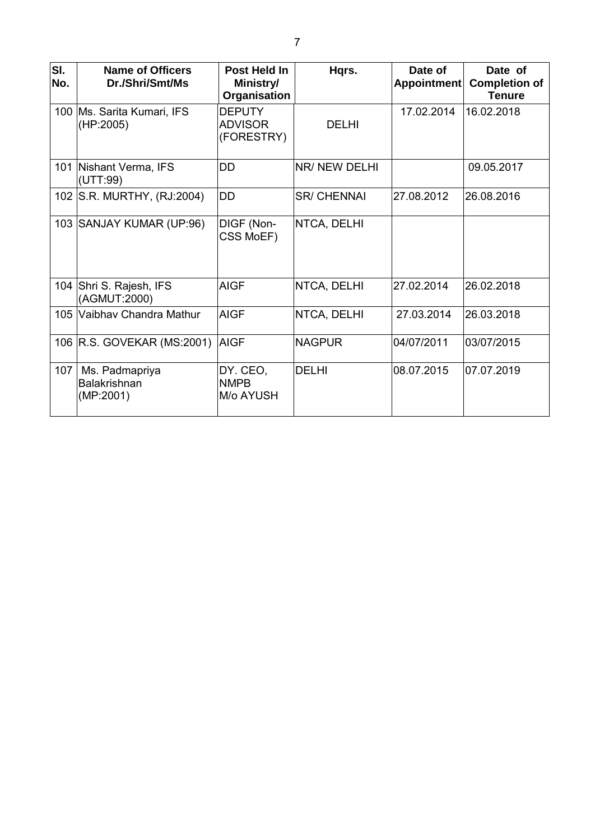| SI.<br>No. | <b>Name of Officers</b><br>Dr./Shri/Smt/Ms         | Post Held In<br>Ministry/<br>Organisation     | Hqrs.              | Date of<br>Appointment | Date of<br><b>Completion of</b><br><b>Tenure</b> |
|------------|----------------------------------------------------|-----------------------------------------------|--------------------|------------------------|--------------------------------------------------|
|            | 100   Ms. Sarita Kumari, IFS<br>(HP:2005)          | <b>DEPUTY</b><br><b>ADVISOR</b><br>(FORESTRY) | <b>DELHI</b>       | 17.02.2014             | 16.02.2018                                       |
|            | 101 Nishant Verma, IFS<br>(UTT:99)                 | DD                                            | NR/ NEW DELHI      |                        | 09.05.2017                                       |
|            | 102 S.R. MURTHY, (RJ:2004)                         | <b>DD</b>                                     | <b>SR/ CHENNAI</b> | 27.08.2012             | 26.08.2016                                       |
|            | 103 SANJAY KUMAR (UP:96)                           | DIGF (Non-<br>CSS MoEF)                       | NTCA, DELHI        |                        |                                                  |
|            | 104 Shri S. Rajesh, IFS<br>(AGMUT:2000)            | <b>AIGF</b>                                   | NTCA, DELHI        | 27.02.2014             | 26.02.2018                                       |
|            | 105 Vaibhav Chandra Mathur                         | <b>AIGF</b>                                   | NTCA, DELHI        | 27.03.2014             | 26.03.2018                                       |
|            | 106 R.S. GOVEKAR (MS:2001)                         | <b>AIGF</b>                                   | <b>NAGPUR</b>      | 04/07/2011             | 03/07/2015                                       |
| 107        | Ms. Padmapriya<br><b>Balakrishnan</b><br>(MP:2001) | DY. CEO,<br><b>NMPB</b><br>M/o AYUSH          | <b>DELHI</b>       | 08.07.2015             | 107.07.2019                                      |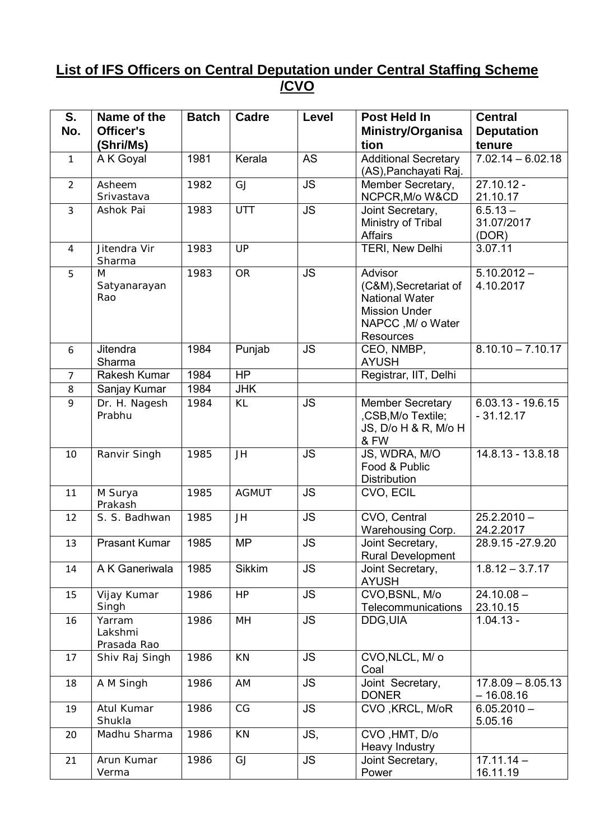### **List of IFS Officers on Central Deputation under Central Staffing Scheme /CVO**

| S.             | Name of the             | <b>Batch</b> | Cadre         | <b>Level</b> | Post Held In                          | <b>Central</b>                     |
|----------------|-------------------------|--------------|---------------|--------------|---------------------------------------|------------------------------------|
| No.            | Officer's               |              |               |              | Ministry/Organisa                     | <b>Deputation</b>                  |
|                | (Shri/Ms)               |              |               |              | tion                                  | tenure                             |
| $\mathbf{1}$   | A K Goyal               | 1981         | Kerala        | <b>AS</b>    | <b>Additional Secretary</b>           | $7.02.14 - 6.02.18$                |
|                |                         |              |               |              | (AS), Panchayati Raj.                 |                                    |
| $\overline{2}$ | Asheem                  | 1982         | GJ            | <b>JS</b>    | Member Secretary,                     | $27.10.12 -$                       |
|                | Srivastava              |              |               |              | NCPCR, M/o W&CD                       | 21.10.17                           |
| $\overline{3}$ | Ashok Pai               | 1983         | UTT           | <b>JS</b>    | Joint Secretary,                      | $6.5.13 -$                         |
|                |                         |              |               |              | Ministry of Tribal                    | 31.07/2017                         |
|                |                         |              |               |              | <b>Affairs</b>                        | (DOR)                              |
| 4              | Jitendra Vir<br>Sharma  | 1983         | UP            |              | TERI, New Delhi                       | 3.07.11                            |
| 5              | M                       | 1983         | <b>OR</b>     | <b>JS</b>    | Advisor                               | $5.10.2012 -$                      |
|                | Satyanarayan            |              |               |              | (C&M), Secretariat of                 | 4.10.2017                          |
|                | Rao                     |              |               |              | <b>National Water</b>                 |                                    |
|                |                         |              |               |              | <b>Mission Under</b>                  |                                    |
|                |                         |              |               |              | NAPCC, M/ o Water                     |                                    |
|                |                         |              |               |              | <b>Resources</b>                      |                                    |
| 6              | Jitendra                | 1984         | Punjab        | <b>JS</b>    | CEO, NMBP,                            | $8.10.10 - 7.10.17$                |
|                | Sharma                  |              |               |              | <b>AYUSH</b>                          |                                    |
| $\overline{7}$ | Rakesh Kumar            | 1984         | <b>HP</b>     |              | Registrar, IIT, Delhi                 |                                    |
| 8              | Sanjay Kumar            | 1984         | <b>JHK</b>    |              |                                       |                                    |
| 9              | Dr. H. Nagesh<br>Prabhu | 1984         | KL            | <b>JS</b>    | Member Secretary<br>,CSB,M/o Textile; | $6.03.13 - 19.6.15$<br>$-31.12.17$ |
|                |                         |              |               |              | JS, D/o H & R, M/o H                  |                                    |
|                |                         |              |               |              | & FW                                  |                                    |
| 10             | Ranvir Singh            | 1985         | JH            | <b>JS</b>    | JS, WDRA, M/O                         | 14.8.13 - 13.8.18                  |
|                |                         |              |               |              | Food & Public                         |                                    |
|                |                         |              |               |              | <b>Distribution</b>                   |                                    |
| 11             | M Surya                 | 1985         | <b>AGMUT</b>  | <b>JS</b>    | CVO, ECIL                             |                                    |
|                | Prakash                 |              |               |              |                                       |                                    |
| 12             | S. S. Badhwan           | 1985         | JH            | <b>JS</b>    | CVO, Central                          | $25.2.2010 -$                      |
| 13             | <b>Prasant Kumar</b>    | 1985         | <b>MP</b>     | <b>JS</b>    | Warehousing Corp.<br>Joint Secretary, | 24.2.2017<br>28.9.15 - 27.9.20     |
|                |                         |              |               |              | Rural Development                     |                                    |
| 14             | A K Ganeriwala          | 1985         | <b>Sikkim</b> | <b>JS</b>    | Joint Secretary,                      | $1.8.12 - 3.7.17$                  |
|                |                         |              |               |              | <b>AYUSH</b>                          |                                    |
| 15             | Vijay Kumar             | 1986         | <b>HP</b>     | <b>JS</b>    | CVO, BSNL, M/o                        | $24.10.08 -$                       |
|                | Singh                   |              |               |              | Telecommunications                    | 23.10.15                           |
| 16             | Yarram                  | 1986         | MH            | <b>JS</b>    | DDG, UIA                              | $1.04.13 -$                        |
|                | Lakshmi                 |              |               |              |                                       |                                    |
|                | Prasada Rao             |              |               |              |                                       |                                    |
| 17             | Shiv Raj Singh          | 1986         | KN            | <b>JS</b>    | CVO, NLCL, M/ o                       |                                    |
|                |                         | 1986         | AM            | <b>JS</b>    | Coal<br>Joint Secretary,              | $17.8.09 - 8.05.13$                |
| 18             | A M Singh               |              |               |              | <b>DONER</b>                          | $-16.08.16$                        |
| 19             | Atul Kumar              | 1986         | CG            | <b>JS</b>    | CVO, KRCL, M/oR                       | $6.05.2010 -$                      |
|                | Shukla                  |              |               |              |                                       | 5.05.16                            |
| 20             | Madhu Sharma            | 1986         | KN            | JS,          | CVO, HMT, D/o                         |                                    |
|                |                         |              |               |              | Heavy Industry                        |                                    |
| 21             | Arun Kumar              | 1986         | GJ            | <b>JS</b>    | Joint Secretary,                      | $17.11.14 -$                       |
|                | Verma                   |              |               |              | Power                                 | 16.11.19                           |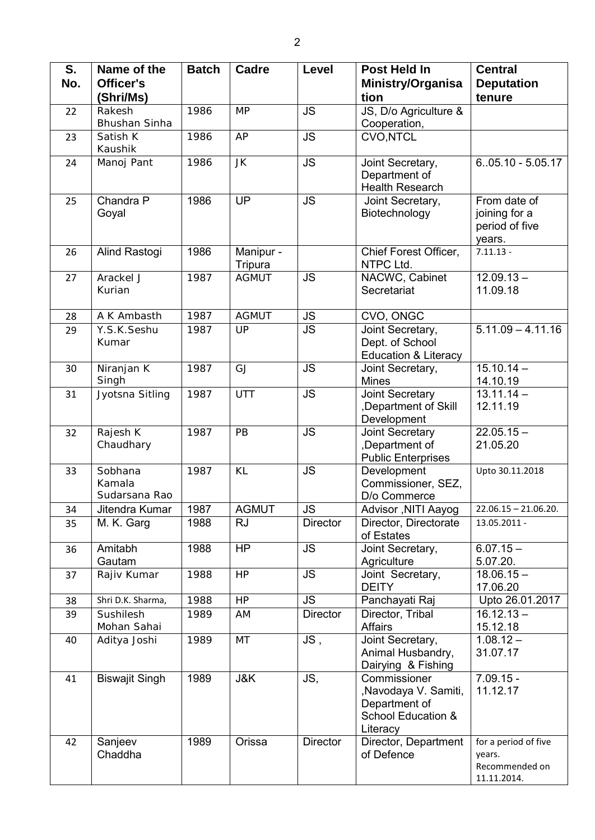| S.  | Name of the                        | <b>Batch</b> | <b>Cadre</b>         | Level           | <b>Post Held In</b>                                                                     | <b>Central</b>                                                  |
|-----|------------------------------------|--------------|----------------------|-----------------|-----------------------------------------------------------------------------------------|-----------------------------------------------------------------|
| No. | Officer's                          |              |                      |                 | <b>Ministry/Organisa</b>                                                                | <b>Deputation</b>                                               |
|     | (Shri/Ms)                          |              |                      |                 | tion                                                                                    | tenure                                                          |
| 22  | Rakesh<br>Bhushan Sinha            | 1986         | <b>MP</b>            | <b>JS</b>       | JS, D/o Agriculture &<br>Cooperation,                                                   |                                                                 |
| 23  | Satish K<br>Kaushik                | 1986         | AP                   | <b>JS</b>       | CVO, NTCL                                                                               |                                                                 |
| 24  | Manoj Pant                         | 1986         | JK                   | <b>JS</b>       | Joint Secretary,<br>Department of<br><b>Health Research</b>                             | $6.05.10 - 5.05.17$                                             |
| 25  | Chandra P<br>Goyal                 | 1986         | UP                   | <b>JS</b>       | Joint Secretary,<br>Biotechnology                                                       | From date of<br>joining for a<br>period of five<br>years.       |
| 26  | Alind Rastogi                      | 1986         | Manipur -<br>Tripura |                 | Chief Forest Officer,<br>NTPC Ltd.                                                      | $7.11.13 -$                                                     |
| 27  | Arackel J<br>Kurian                | 1987         | <b>AGMUT</b>         | <b>JS</b>       | NACWC, Cabinet<br>Secretariat                                                           | $12.09.13 -$<br>11.09.18                                        |
| 28  | A K Ambasth                        | 1987         | <b>AGMUT</b>         | <b>JS</b>       | CVO, ONGC                                                                               |                                                                 |
| 29  | Y.S.K.Seshu<br>Kumar               | 1987         | UP                   | <b>JS</b>       | Joint Secretary,<br>Dept. of School<br><b>Education &amp; Literacy</b>                  | $5.11.09 - 4.11.16$                                             |
| 30  | Niranjan K<br>Singh                | 1987         | GJ                   | <b>JS</b>       | Joint Secretary,<br><b>Mines</b>                                                        | $15.10.14 -$<br>14.10.19                                        |
| 31  | Jyotsna Sitling                    | 1987         | UTT                  | <b>JS</b>       | Joint Secretary<br>,Department of Skill<br>Development                                  | $13.11.14 -$<br>12.11.19                                        |
| 32  | Rajesh K<br>Chaudhary              | 1987         | PB                   | <b>JS</b>       | Joint Secretary<br>,Department of<br><b>Public Enterprises</b>                          | $22.05.15 -$<br>21.05.20                                        |
| 33  | Sobhana<br>Kamala<br>Sudarsana Rao | 1987         | KL                   | <b>JS</b>       | Development<br>Commissioner, SEZ,<br>D/o Commerce                                       | Upto 30.11.2018                                                 |
| 34  | Jitendra Kumar                     | 1987         | <b>AGMUT</b>         | JS              | Advisor , NITI Aayog                                                                    | $22.06.15 - 21.06.20.$                                          |
| 35  | M. K. Garg                         | 1988         | <b>RJ</b>            | <b>Director</b> | Director, Directorate<br>of Estates                                                     | 13.05.2011 -                                                    |
| 36  | Amitabh<br>Gautam                  | 1988         | H <sub>P</sub>       | <b>JS</b>       | Joint Secretary,<br>Agriculture                                                         | $6.07.15 -$<br>5.07.20.                                         |
| 37  | Rajiv Kumar                        | 1988         | HP                   | <b>JS</b>       | Joint Secretary,<br><b>DEITY</b>                                                        | $18.06.15 -$<br>17.06.20                                        |
| 38  | Shri D.K. Sharma,                  | 1988         | HP                   | <b>JS</b>       | Panchayati Raj                                                                          | Upto 26.01.2017                                                 |
| 39  | Sushilesh<br>Mohan Sahai           | 1989         | AM                   | <b>Director</b> | Director, Tribal<br><b>Affairs</b>                                                      | $16.12.13 -$<br>15.12.18                                        |
| 40  | Aditya Joshi                       | 1989         | MT                   | JS,             | Joint Secretary,<br>Animal Husbandry,<br>Dairying & Fishing                             | $1.08.12 -$<br>31.07.17                                         |
| 41  | <b>Biswajit Singh</b>              | 1989         | J&K                  | JS,             | Commissioner<br>,Navodaya V. Samiti,<br>Department of<br>School Education &<br>Literacy | $7.09.15 -$<br>11.12.17                                         |
| 42  | Sanjeev<br>Chaddha                 | 1989         | Orissa               | <b>Director</b> | Director, Department<br>of Defence                                                      | for a period of five<br>years.<br>Recommended on<br>11.11.2014. |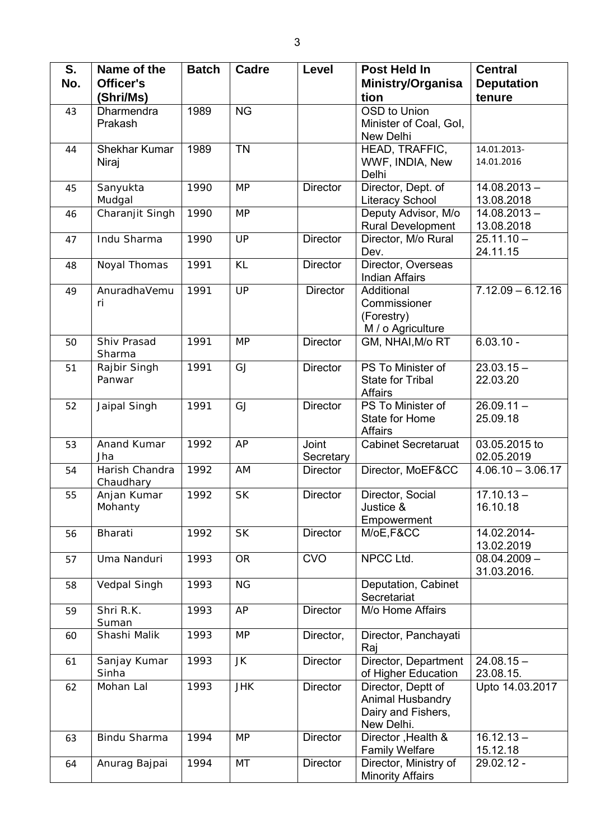| S.  | Name of the           | <b>Batch</b> | Cadre      | Level           | Post Held In                                   | <b>Central</b>           |
|-----|-----------------------|--------------|------------|-----------------|------------------------------------------------|--------------------------|
| No. | Officer's             |              |            |                 | Ministry/Organisa                              | <b>Deputation</b>        |
|     | (Shri/Ms)             |              |            |                 | tion                                           | tenure                   |
| 43  | Dharmendra            | 1989         | <b>NG</b>  |                 | OSD to Union                                   |                          |
|     | Prakash               |              |            |                 | Minister of Coal, Gol,                         |                          |
|     |                       |              |            |                 | New Delhi                                      |                          |
| 44  | <b>Shekhar Kumar</b>  | 1989         | <b>TN</b>  |                 | HEAD, TRAFFIC,                                 | 14.01.2013-              |
|     | Niraj                 |              |            |                 | WWF, INDIA, New<br>Delhi                       | 14.01.2016               |
| 45  | Sanyukta              | 1990         | <b>MP</b>  | <b>Director</b> | Director, Dept. of                             | $14.08.2013 -$           |
|     | Mudgal                |              |            |                 | <b>Literacy School</b>                         | 13.08.2018               |
| 46  | Charanjit Singh       | 1990         | <b>MP</b>  |                 | Deputy Advisor, M/o                            | $14.08.2013 -$           |
|     |                       |              |            |                 | Rural Development                              | 13.08.2018               |
| 47  | Indu Sharma           | 1990         | UP         | <b>Director</b> | Director, M/o Rural                            | $25.11.10 -$             |
|     |                       |              |            |                 | Dev.                                           | 24.11.15                 |
| 48  | Noyal Thomas          | 1991         | KL         | <b>Director</b> | Director, Overseas                             |                          |
|     | AnuradhaVemu          | 1991         | UP         | <b>Director</b> | <b>Indian Affairs</b><br>Additional            | $7.12.09 - 6.12.16$      |
| 49  | ri                    |              |            |                 | Commissioner                                   |                          |
|     |                       |              |            |                 | (Forestry)                                     |                          |
|     |                       |              |            |                 | M / o Agriculture                              |                          |
| 50  | Shiv Prasad           | 1991         | <b>MP</b>  | <b>Director</b> | GM, NHAI, M/o RT                               | $6.03.10 -$              |
|     | Sharma                |              |            |                 |                                                |                          |
| 51  | Rajbir Singh          | 1991         | GJ         | <b>Director</b> | PS To Minister of                              | $23.03.15 -$             |
|     | Panwar                |              |            |                 | <b>State for Tribal</b>                        | 22.03.20                 |
|     |                       |              |            |                 | <b>Affairs</b>                                 |                          |
| 52  | Jaipal Singh          | 1991         | GJ         | <b>Director</b> | PS To Minister of<br>State for Home            | $26.09.11 -$<br>25.09.18 |
|     |                       |              |            |                 | <b>Affairs</b>                                 |                          |
| 53  | Anand Kumar           | 1992         | AP         | Joint           | <b>Cabinet Secretaruat</b>                     | 03.05.2015 to            |
|     | Jha                   |              |            | Secretary       |                                                | 02.05.2019               |
| 54  | Harish Chandra        | 1992         | AM         | <b>Director</b> | Director, MoEF&CC                              | $4.06.10 - 3.06.17$      |
|     | Chaudhary             |              |            |                 |                                                |                          |
| 55  | Anjan Kumar           | 1992         | <b>SK</b>  | <b>Director</b> | Director, Social                               | $17.10.13 -$             |
|     | Mohanty               |              |            |                 | Justice &<br>Empowerment                       | 16.10.18                 |
| 56  | Bharati               | 1992         | <b>SK</b>  | <b>Director</b> | M/oE,F&CC                                      | 14.02.2014-              |
|     |                       |              |            |                 |                                                | 13.02.2019               |
| 57  | Uma Nanduri           | 1993         | <b>OR</b>  | <b>CVO</b>      | NPCC Ltd.                                      | $08.04.2009 -$           |
|     |                       |              |            |                 |                                                | 31.03.2016.              |
| 58  | Vedpal Singh          | 1993         | <b>NG</b>  |                 | Deputation, Cabinet                            |                          |
|     |                       |              |            |                 | Secretariat                                    |                          |
| 59  | Shri R.K.             | 1993         | AP         | <b>Director</b> | M/o Home Affairs                               |                          |
| 60  | Suman<br>Shashi Malik | 1993         | <b>MP</b>  | Director,       | Director, Panchayati                           |                          |
|     |                       |              |            |                 | Raj                                            |                          |
| 61  | Sanjay Kumar          | 1993         | JK         | Director        | Director, Department                           | $24.08.15 -$             |
|     | Sinha                 |              |            |                 | of Higher Education                            | 23.08.15.                |
| 62  | Mohan Lal             | 1993         | <b>JHK</b> | Director        | Director, Deptt of                             | Upto 14.03.2017          |
|     |                       |              |            |                 | Animal Husbandry                               |                          |
|     |                       |              |            |                 | Dairy and Fishers,                             |                          |
|     |                       |              |            |                 | New Delhi.                                     |                          |
| 63  | Bindu Sharma          | 1994         | <b>MP</b>  | <b>Director</b> | Director, Health &                             | $16.12.13 -$             |
| 64  | Anurag Bajpai         | 1994         | MT         | Director        | <b>Family Welfare</b><br>Director, Ministry of | 15.12.18<br>29.02.12 -   |
|     |                       |              |            |                 | <b>Minority Affairs</b>                        |                          |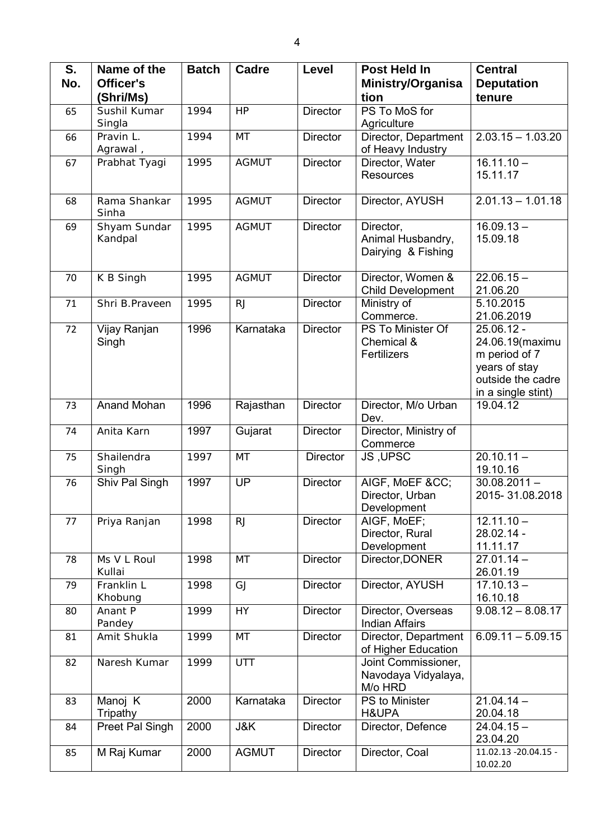| S.  | Name of the             | <b>Batch</b> | <b>Cadre</b> | Level           | Post Held In                                          | <b>Central</b>                                                                                             |
|-----|-------------------------|--------------|--------------|-----------------|-------------------------------------------------------|------------------------------------------------------------------------------------------------------------|
| No. | Officer's               |              |              |                 | Ministry/Organisa                                     | <b>Deputation</b>                                                                                          |
|     | (Shri/Ms)               |              |              |                 | tion                                                  | tenure                                                                                                     |
| 65  | Sushil Kumar            | 1994         | HP           | <b>Director</b> | PS To MoS for                                         |                                                                                                            |
|     | Singla                  |              |              |                 | Agriculture                                           |                                                                                                            |
| 66  | Pravin L.<br>Agrawal,   | 1994         | MT           | <b>Director</b> | Director, Department<br>of Heavy Industry             | $2.03.15 - 1.03.20$                                                                                        |
| 67  | Prabhat Tyagi           | 1995         | <b>AGMUT</b> | <b>Director</b> | Director, Water<br><b>Resources</b>                   | $16.11.10 -$<br>15.11.17                                                                                   |
|     |                         |              |              |                 |                                                       |                                                                                                            |
| 68  | Rama Shankar<br>Sinha   | 1995         | <b>AGMUT</b> | <b>Director</b> | Director, AYUSH                                       | $2.01.13 - 1.01.18$                                                                                        |
| 69  | Shyam Sundar<br>Kandpal | 1995         | <b>AGMUT</b> | Director        | Director,<br>Animal Husbandry,<br>Dairying & Fishing  | $16.09.13 -$<br>15.09.18                                                                                   |
| 70  | K B Singh               | 1995         | <b>AGMUT</b> | <b>Director</b> | Director, Women &<br><b>Child Development</b>         | $22.06.15 -$<br>21.06.20                                                                                   |
| 71  | Shri B. Praveen         | 1995         | <b>RJ</b>    | <b>Director</b> | Ministry of<br>Commerce.                              | 5.10.2015<br>21.06.2019                                                                                    |
| 72  | Vijay Ranjan<br>Singh   | 1996         | Karnataka    | <b>Director</b> | PS To Minister Of<br>Chemical &<br>Fertilizers        | 25.06.12 -<br>24.06.19(maximu<br>m period of 7<br>years of stay<br>outside the cadre<br>in a single stint) |
| 73  | Anand Mohan             | 1996         | Rajasthan    | <b>Director</b> | Director, M/o Urban<br>Dev.                           | 19.04.12                                                                                                   |
| 74  | Anita Karn              | 1997         | Gujarat      | <b>Director</b> | Director, Ministry of<br>Commerce                     |                                                                                                            |
| 75  | Shailendra<br>Singh     | 1997         | MT           | <b>Director</b> | JS, UPSC                                              | $20.10.11 -$<br>19.10.16                                                                                   |
| 76  | Shiv Pal Singh          | 1997         | <b>UP</b>    | <b>Director</b> | AIGF, MoEF &CC<br>Director, Urban<br>Development      | $30.08.2011 -$<br>2015-31.08.2018                                                                          |
| 77  | Priya Ranjan            | 1998         | <b>RJ</b>    | <b>Director</b> | AIGF, MoEF;<br>Director, Rural<br>Development         | $12.11.10 -$<br>28.02.14 -<br>11.11.17                                                                     |
| 78  | Ms V L Roul<br>Kullai   | 1998         | MT           | <b>Director</b> | Director, DONER                                       | $27.01.14 -$<br>26.01.19                                                                                   |
| 79  | Franklin L<br>Khobung   | 1998         | GJ           | <b>Director</b> | Director, AYUSH                                       | $17.10.13 -$<br>16.10.18                                                                                   |
| 80  | Anant P<br>Pandey       | 1999         | <b>HY</b>    | <b>Director</b> | Director, Overseas<br><b>Indian Affairs</b>           | $9.08.12 - 8.08.17$                                                                                        |
| 81  | Amit Shukla             | 1999         | MT           | <b>Director</b> | Director, Department<br>of Higher Education           | $6.09.11 - 5.09.15$                                                                                        |
| 82  | Naresh Kumar            | 1999         | UTT          |                 | Joint Commissioner,<br>Navodaya Vidyalaya,<br>M/o HRD |                                                                                                            |
| 83  | Manoj K<br>Tripathy     | 2000         | Karnataka    | <b>Director</b> | PS to Minister<br>H&UPA                               | $21.04.14 -$<br>20.04.18                                                                                   |
| 84  | Preet Pal Singh         | 2000         | J&K          | Director        | Director, Defence                                     | $24.04.15 -$<br>23.04.20                                                                                   |
| 85  | M Raj Kumar             | 2000         | <b>AGMUT</b> | <b>Director</b> | Director, Coal                                        | 11.02.13 - 20.04.15 -<br>10.02.20                                                                          |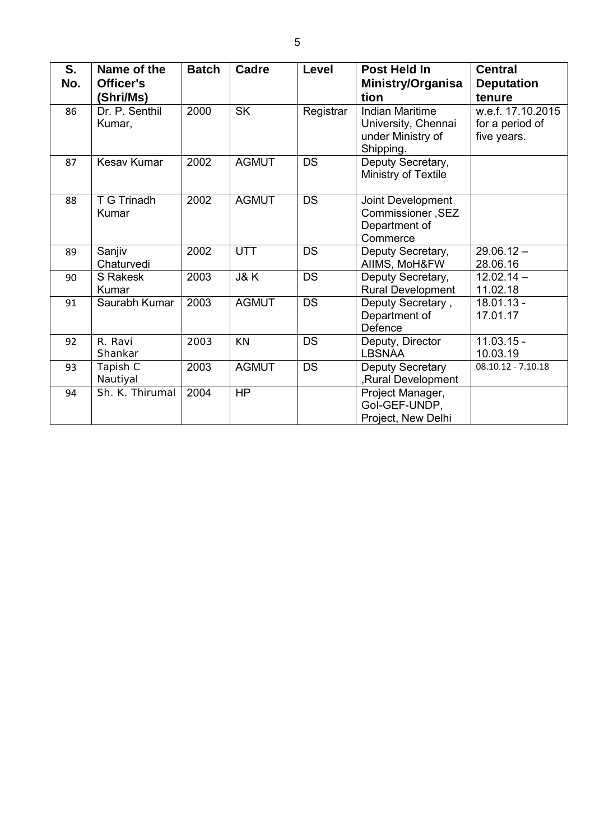| S.<br>No. | Name of the<br>Officer's<br>(Shri/Ms) | <b>Batch</b> | Cadre        | Level     | Post Held In<br>Ministry/Organisa<br>tion                                       | <b>Central</b><br><b>Deputation</b><br>tenure       |
|-----------|---------------------------------------|--------------|--------------|-----------|---------------------------------------------------------------------------------|-----------------------------------------------------|
| 86        | Dr. P. Senthil<br>Kumar,              | 2000         | <b>SK</b>    | Registrar | <b>Indian Maritime</b><br>University, Chennai<br>under Ministry of<br>Shipping. | w.e.f. 17.10.2015<br>for a period of<br>five years. |
| 87        | Kesav Kumar                           | 2002         | <b>AGMUT</b> | <b>DS</b> | Deputy Secretary,<br>Ministry of Textile                                        |                                                     |
| 88        | T G Trinadh<br>Kumar                  | 2002         | <b>AGMUT</b> | <b>DS</b> | Joint Development<br>Commissioner, SEZ<br>Department of<br>Commerce             |                                                     |
| 89        | Sanjiv<br>Chaturvedi                  | 2002         | <b>UTT</b>   | DS        | Deputy Secretary,<br>AIIMS, MoH&FW                                              | $29.06.12 -$<br>28.06.16                            |
| 90        | <b>S</b> Rakesk<br>Kumar              | 2003         | J&K          | <b>DS</b> | Deputy Secretary,<br>Rural Development                                          | $12.02.14 -$<br>11.02.18                            |
| 91        | Saurabh Kumar                         | 2003         | <b>AGMUT</b> | <b>DS</b> | Deputy Secretary,<br>Department of<br>Defence                                   | $18.01.13 -$<br>17.01.17                            |
| 92        | R. Ravi<br>Shankar                    | 2003         | KN           | <b>DS</b> | Deputy, Director<br><b>LBSNAA</b>                                               | $11.03.15 -$<br>10.03.19                            |
| 93        | Tapish C<br>Nautiyal                  | 2003         | <b>AGMUT</b> | <b>DS</b> | Deputy Secretary<br>,Rural Development                                          | $08.10.12 - 7.10.18$                                |
| 94        | Sh. K. Thirumal                       | 2004         | <b>HP</b>    |           | Project Manager,<br>Gol-GEF-UNDP,<br>Project, New Delhi                         |                                                     |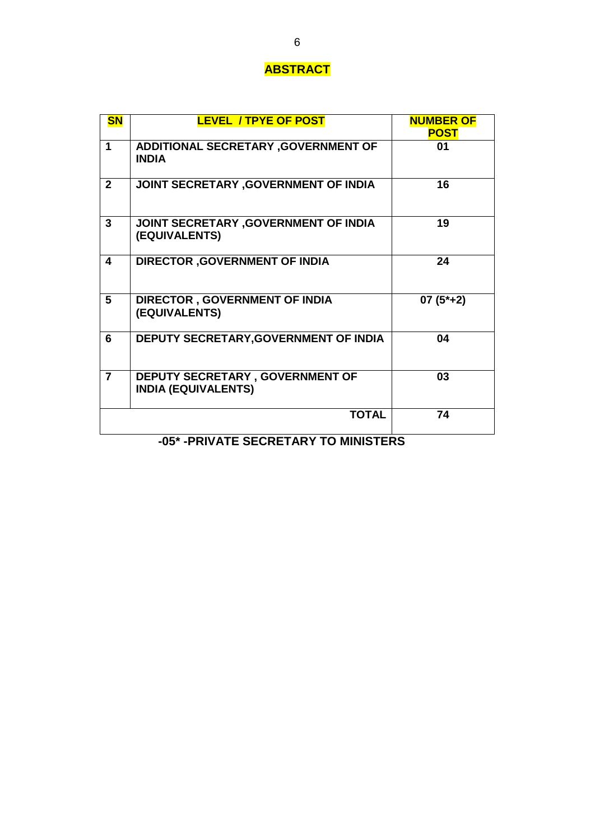### **ABSTRACT**

|                | <b>LEVEL / TPYE OF POST</b>                                   | <b>NUMBER OF</b><br><b>POST</b> |
|----------------|---------------------------------------------------------------|---------------------------------|
| 1              | ADDITIONAL SECRETARY , GOVERNMENT OF<br><b>INDIA</b>          | 01                              |
| $\mathbf{2}$   | JOINT SECRETARY , GOVERNMENT OF INDIA                         | 16                              |
| $\overline{3}$ | JOINT SECRETARY , GOVERNMENT OF INDIA<br>(EQUIVALENTS)        | 19                              |
| 4              | <b>DIRECTOR , GOVERNMENT OF INDIA</b>                         | 24                              |
| 5              | <b>DIRECTOR, GOVERNMENT OF INDIA</b><br>(EQUIVALENTS)         | $07(5^*+2)$                     |
| 6              | DEPUTY SECRETARY, GOVERNMENT OF INDIA                         | 04                              |
| $\overline{7}$ | DEPUTY SECRETARY, GOVERNMENT OF<br><b>INDIA (EQUIVALENTS)</b> | 03                              |
|                | <b>TOTAL</b>                                                  | 74                              |

**-05\* -PRIVATE SECRETARY TO MINISTERS**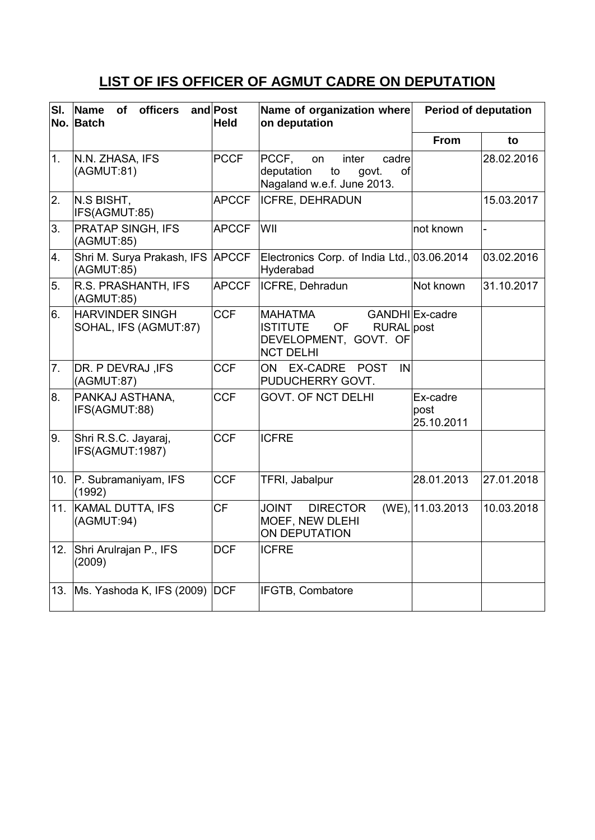# **LIST OF IFS OFFICER OF AGMUT CADRE ON DEPUTATION**

| SI. | officers<br>Name<br><b>of</b><br>No. Batch      | and Post<br><b>Held</b> | Name of organization where<br>on deputation                                                               | <b>Period of deputation</b>    |            |
|-----|-------------------------------------------------|-------------------------|-----------------------------------------------------------------------------------------------------------|--------------------------------|------------|
|     |                                                 |                         |                                                                                                           | From                           | to         |
| 1.  | N.N. ZHASA, IFS<br>(AGMUT:81)                   | <b>PCCF</b>             | PCCF,<br>inter<br>cadre<br>on<br>deputation<br>to<br>govt.<br>of<br>Nagaland w.e.f. June 2013.            |                                | 28.02.2016 |
| 2.  | N.S BISHT,<br>IFS(AGMUT:85)                     | <b>APCCF</b>            | <b>ICFRE, DEHRADUN</b>                                                                                    |                                | 15.03.2017 |
| 3.  | <b>PRATAP SINGH, IFS</b><br>(AGMUT:85)          | <b>APCCF</b>            | WII                                                                                                       | not known                      |            |
| 4.  | Shri M. Surya Prakash, IFS APCCF<br>(AGMUT:85)  |                         | Electronics Corp. of India Ltd., 03.06.2014<br>Hyderabad                                                  |                                | 03.02.2016 |
| 5.  | R.S. PRASHANTH, IFS<br>(AGMUT:85)               | <b>APCCF</b>            | ICFRE, Dehradun                                                                                           | Not known                      | 31.10.2017 |
| 6.  | <b>HARVINDER SINGH</b><br>SOHAL, IFS (AGMUT:87) | <b>CCF</b>              | <b>MAHATMA</b><br><b>ISTITUTE</b><br><b>OF</b><br>RURAL post<br>DEVELOPMENT, GOVT. OF<br><b>NCT DELHI</b> | GANDHILEx-cadre                |            |
| 7.  | DR. P DEVRAJ, IFS<br>(AGMUT:87)                 | <b>CCF</b>              | <b>EX-CADRE</b><br><b>POST</b><br>IN<br>ON.<br>PUDUCHERRY GOVT.                                           |                                |            |
| 8.  | PANKAJ ASTHANA,<br>IFS(AGMUT:88)                | <b>CCF</b>              | <b>GOVT. OF NCT DELHI</b>                                                                                 | Ex-cadre<br>post<br>25.10.2011 |            |
| 9.  | Shri R.S.C. Jayaraj,<br>IFS(AGMUT:1987)         | <b>CCF</b>              | <b>ICFRE</b>                                                                                              |                                |            |
| 10. | P. Subramaniyam, IFS<br>(1992)                  | <b>CCF</b>              | TFRI, Jabalpur                                                                                            | 28.01.2013                     | 27.01.2018 |
| 11. | <b>KAMAL DUTTA, IFS</b><br>(AGMUT:94)           | <b>CF</b>               | <b>DIRECTOR</b><br><b>JOINT</b><br>MOEF, NEW DLEHI<br>ON DEPUTATION                                       | (WE), 11.03.2013               | 10.03.2018 |
| 12. | Shri Arulrajan P., IFS<br>(2009)                | <b>DCF</b>              | <b>ICFRE</b>                                                                                              |                                |            |
|     | 13. Ms. Yashoda K, IFS (2009) DCF               |                         | IFGTB, Combatore                                                                                          |                                |            |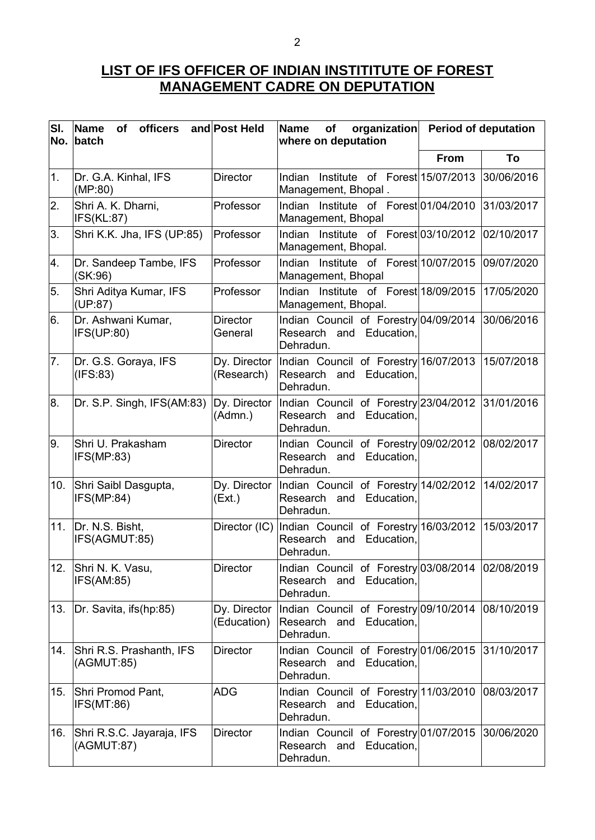#### **LIST OF IFS OFFICER OF INDIAN INSTITITUTE OF FOREST MANAGEMENT CADRE ON DEPUTATION**

| SI. | Name of officers and Post Held<br>No. batch |                             | <b>Name</b><br>organization<br>of<br>where on deputation                                    | <b>Period of deputation</b> |  |
|-----|---------------------------------------------|-----------------------------|---------------------------------------------------------------------------------------------|-----------------------------|--|
|     |                                             |                             |                                                                                             | To<br><b>From</b>           |  |
| 1.  | Dr. G.A. Kinhal, IFS<br>(MP:80)             | <b>Director</b>             | Indian Institute of Forest 15/07/2013<br>Management, Bhopal.                                | 30/06/2016                  |  |
| 2.  | Shri A. K. Dharni,<br>IFS(KL:87)            | Professor                   | Indian Institute of Forest 01/04/2010<br>Management, Bhopal                                 | 31/03/2017                  |  |
| 3.  | Shri K.K. Jha, IFS (UP:85)                  | Professor                   | Indian Institute of Forest 03/10/2012<br>Management, Bhopal.                                | 02/10/2017                  |  |
| 4.  | Dr. Sandeep Tambe, IFS<br>(SK:96)           | Professor                   | Indian Institute of Forest 10/07/2015<br>Management, Bhopal                                 | 09/07/2020                  |  |
| 5.  | Shri Aditya Kumar, IFS<br>(UP:87)           | Professor                   | Indian Institute of Forest 18/09/2015<br>Management, Bhopal.                                | 17/05/2020                  |  |
| 6.  | Dr. Ashwani Kumar,<br>IFS(UP:80)            | <b>Director</b><br>General  | Indian Council of Forestry 04/09/2014<br>Research and Education,<br>Dehradun.               | 30/06/2016                  |  |
| 7.  | Dr. G.S. Goraya, IFS<br>(IFS:83)            | Dy. Director<br>(Research)  | Indian Council of Forestry 16/07/2013<br>Research and Education,<br>Dehradun.               | 15/07/2018                  |  |
| 8.  | Dr. S.P. Singh, IFS(AM:83)                  | Dy. Director<br>(Admn.)     | Indian Council of Forestry 23/04/2012<br>Research and Education,<br>Dehradun.               | 31/01/2016                  |  |
| 9.  | Shri U. Prakasham<br>IFS(MP:83)             | <b>Director</b>             | Indian Council of Forestry 09/02/2012<br>Research and Education,<br>Dehradun.               | 08/02/2017                  |  |
| 10. | Shri Saibl Dasgupta,<br>IFS(MP:84)          | Dy. Director<br>(EX.)       | Indian Council of Forestry 14/02/2012<br>Research and Education,<br>Dehradun.               | 14/02/2017                  |  |
| 11. | Dr. N.S. Bisht,<br>IFS(AGMUT:85)            | Director (IC)               | Indian Council of Forestry 16/03/2012<br>Research and Education,<br>Dehradun.               | 15/03/2017                  |  |
| 12. | Shri N. K. Vasu,<br>IFS(AM:85)              | Director                    | Indian Council of Forestry 03/08/2014 02/08/2019<br>and Education,<br>Research<br>Dehradun. |                             |  |
| 13. | Dr. Savita, ifs(hp:85)                      | Dy. Director<br>(Education) | Indian Council of Forestry 09/10/2014 08/10/2019<br>Research and Education,<br>Dehradun.    |                             |  |
| 14. | Shri R.S. Prashanth, IFS<br>(AGMUT:85)      | <b>Director</b>             | Indian Council of Forestry 01/06/2015<br>Research and Education,<br>Dehradun.               | 31/10/2017                  |  |
| 15. | Shri Promod Pant,<br>IFS(MT:86)             | <b>ADG</b>                  | Indian Council of Forestry 11/03/2010<br>Research and Education,<br>Dehradun.               | 08/03/2017                  |  |
| 16. | Shri R.S.C. Jayaraja, IFS<br>(AGMUT:87)     | <b>Director</b>             | Indian Council of Forestry 01/07/2015<br>Research and Education,<br>Dehradun.               | 30/06/2020                  |  |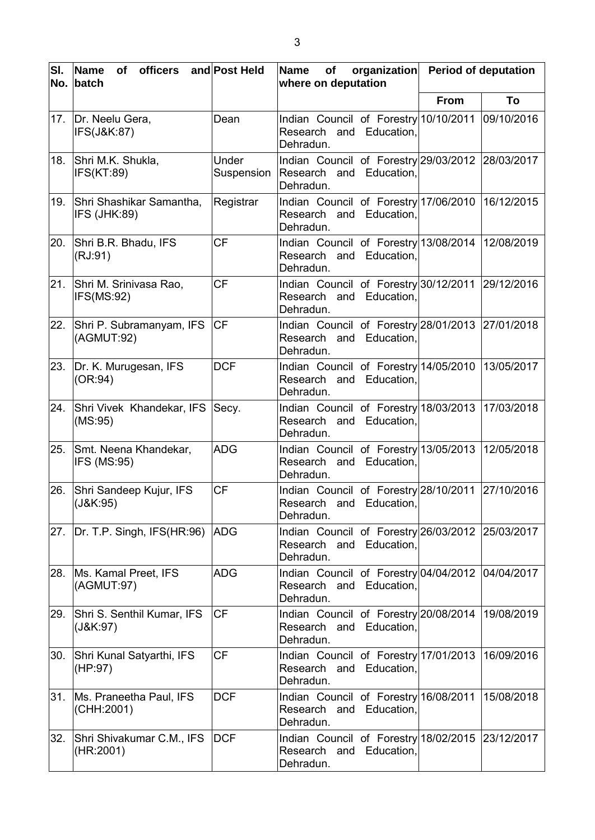| SI. | Name<br><b>officers</b><br>of<br>No. batch  | and Post Held       | organization<br><b>Name</b><br>of<br>where on deputation                                    | <b>Period of deputation</b> |  |
|-----|---------------------------------------------|---------------------|---------------------------------------------------------------------------------------------|-----------------------------|--|
|     |                                             |                     |                                                                                             | <b>From</b><br>To           |  |
| 17. | Dr. Neelu Gera,<br>IFS(J&K:87)              | Dean                | Indian Council of Forestry 10/10/2011 09/10/2016<br>Research and Education,<br>Dehradun.    |                             |  |
| 18. | Shri M.K. Shukla,<br>IFS(KT:89)             | Under<br>Suspension | Indian Council of Forestry 29/03/2012 28/03/2017<br>Research and Education,<br>Dehradun.    |                             |  |
| 19. | Shri Shashikar Samantha,<br>IFS (JHK:89)    | Registrar           | Indian Council of Forestry 17/06/2010<br>Research and Education.<br>Dehradun.               | 16/12/2015                  |  |
| 20. | Shri B.R. Bhadu, IFS<br>(RJ:91)             | <b>CF</b>           | Indian Council of Forestry 13/08/2014<br>Research and Education,<br>Dehradun.               | 12/08/2019                  |  |
| 21. | Shri M. Srinivasa Rao,<br>IFS(MS:92)        | <b>CF</b>           | Indian Council of Forestry 30/12/2011 29/12/2016<br>Research and Education.<br>Dehradun.    |                             |  |
| 22. | Shri P. Subramanyam, IFS<br>(AGMUT:92)      | <b>CF</b>           | Indian Council of Forestry 28/01/2013 27/01/2018<br>Research and Education,<br>Dehradun.    |                             |  |
| 23. | Dr. K. Murugesan, IFS<br>(OR:94)            | <b>DCF</b>          | Indian Council of Forestry 14/05/2010<br>Research and Education,<br>Dehradun.               | 13/05/2017                  |  |
| 24. | Shri Vivek Khandekar, IFS<br>(MS:95)        | Secy.               | Indian Council of Forestry 18/03/2013<br>Research and Education,<br>Dehradun.               | 17/03/2018                  |  |
| 25. | Smt. Neena Khandekar,<br><b>IFS (MS:95)</b> | <b>ADG</b>          | Indian Council of Forestry 13/05/2013<br>Research and Education,<br>Dehradun.               | 12/05/2018                  |  |
| 26. | Shri Sandeep Kujur, IFS<br>(J&K:95)         | <b>CF</b>           | Indian Council of Forestry 28/10/2011 27/10/2016<br>Research and Education,<br>Dehradun.    |                             |  |
| 27. | Dr. T.P. Singh, IFS(HR:96)                  | <b>ADG</b>          | Indian Council of Forestry 26/03/2012 25/03/2017<br>Research and<br>Education,<br>Dehradun. |                             |  |
| 28. | Ms. Kamal Preet, IFS<br>(AGMUT:97)          | <b>ADG</b>          | Indian Council of Forestry 04/04/2012<br>Research and<br>Education,<br>Dehradun.            | 04/04/2017                  |  |
| 29. | Shri S. Senthil Kumar, IFS<br>(J&K:97)      | <b>CF</b>           | Indian Council of Forestry 20/08/2014<br>Research and<br>Education,<br>Dehradun.            | 19/08/2019                  |  |
| 30. | Shri Kunal Satyarthi, IFS<br>(HP:97)        | <b>CF</b>           | Indian Council of Forestry 17/01/2013<br>Education,<br>Research<br>and<br>Dehradun.         | 16/09/2016                  |  |
| 31. | Ms. Praneetha Paul, IFS<br>(CHH:2001)       | <b>DCF</b>          | Indian Council of Forestry 16/08/2011<br>Research and Education,<br>Dehradun.               | 15/08/2018                  |  |
| 32. | Shri Shivakumar C.M., IFS<br>(HR:2001)      | <b>DCF</b>          | Indian Council of Forestry 18/02/2015 23/12/2017<br>Research and Education,<br>Dehradun.    |                             |  |